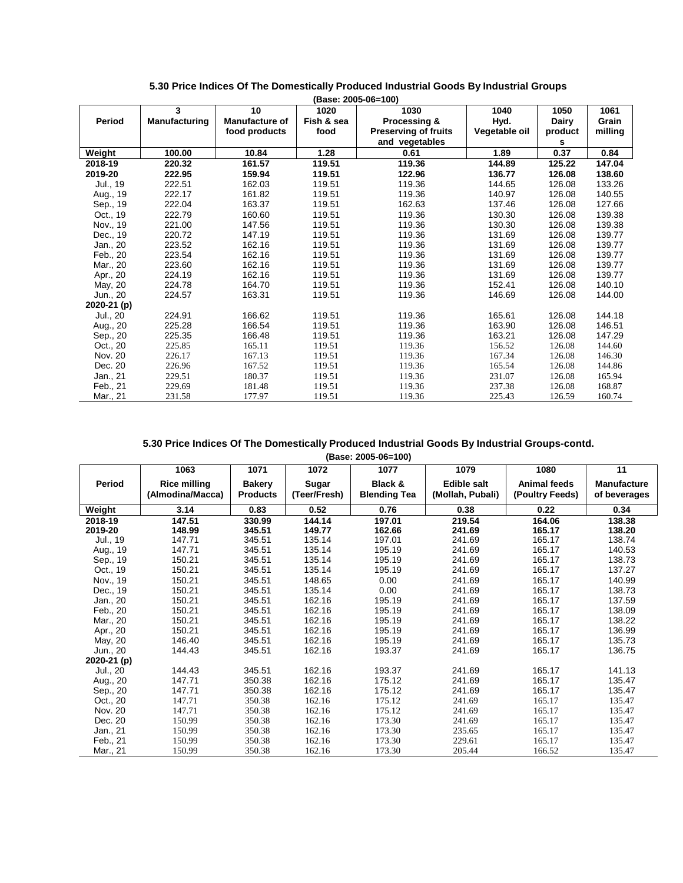|             | (Base: 2005-06=100)  |                |            |                             |               |         |         |  |  |  |  |
|-------------|----------------------|----------------|------------|-----------------------------|---------------|---------|---------|--|--|--|--|
|             | 3                    | 10             | 1020       | 1030                        | 1040          | 1050    | 1061    |  |  |  |  |
| Period      | <b>Manufacturing</b> | Manufacture of | Fish & sea | <b>Processing &amp;</b>     | Hyd.          | Dairy   | Grain   |  |  |  |  |
|             |                      | food products  | food       | <b>Preserving of fruits</b> | Vegetable oil | product | milling |  |  |  |  |
|             |                      |                |            | and vegetables              |               | s       |         |  |  |  |  |
| Weight      | 100.00               | 10.84          | 1.28       | 0.61                        | 1.89          | 0.37    | 0.84    |  |  |  |  |
| 2018-19     | 220.32               | 161.57         | 119.51     | 119.36                      | 144.89        | 125.22  | 147.04  |  |  |  |  |
| 2019-20     | 222.95               | 159.94         | 119.51     | 122.96                      | 136.77        | 126.08  | 138.60  |  |  |  |  |
| Jul., 19    | 222.51               | 162.03         | 119.51     | 119.36                      | 144.65        | 126.08  | 133.26  |  |  |  |  |
| Aug., 19    | 222.17               | 161.82         | 119.51     | 119.36                      | 140.97        | 126.08  | 140.55  |  |  |  |  |
| Sep., 19    | 222.04               | 163.37         | 119.51     | 162.63                      | 137.46        | 126.08  | 127.66  |  |  |  |  |
| Oct., 19    | 222.79               | 160.60         | 119.51     | 119.36                      | 130.30        | 126.08  | 139.38  |  |  |  |  |
| Nov., 19    | 221.00               | 147.56         | 119.51     | 119.36                      | 130.30        | 126.08  | 139.38  |  |  |  |  |
| Dec., 19    | 220.72               | 147.19         | 119.51     | 119.36                      | 131.69        | 126.08  | 139.77  |  |  |  |  |
| Jan., 20    | 223.52               | 162.16         | 119.51     | 119.36                      | 131.69        | 126.08  | 139.77  |  |  |  |  |
| Feb., 20    | 223.54               | 162.16         | 119.51     | 119.36                      | 131.69        | 126.08  | 139.77  |  |  |  |  |
| Mar., 20    | 223.60               | 162.16         | 119.51     | 119.36                      | 131.69        | 126.08  | 139.77  |  |  |  |  |
| Apr., 20    | 224.19               | 162.16         | 119.51     | 119.36                      | 131.69        | 126.08  | 139.77  |  |  |  |  |
| May, 20     | 224.78               | 164.70         | 119.51     | 119.36                      | 152.41        | 126.08  | 140.10  |  |  |  |  |
| Jun., 20    | 224.57               | 163.31         | 119.51     | 119.36                      | 146.69        | 126.08  | 144.00  |  |  |  |  |
| 2020-21 (p) |                      |                |            |                             |               |         |         |  |  |  |  |
| Jul., 20    | 224.91               | 166.62         | 119.51     | 119.36                      | 165.61        | 126.08  | 144.18  |  |  |  |  |
| Aug., 20    | 225.28               | 166.54         | 119.51     | 119.36                      | 163.90        | 126.08  | 146.51  |  |  |  |  |
| Sep., 20    | 225.35               | 166.48         | 119.51     | 119.36                      | 163.21        | 126.08  | 147.29  |  |  |  |  |
| Oct., 20    | 225.85               | 165.11         | 119.51     | 119.36                      | 156.52        | 126.08  | 144.60  |  |  |  |  |
| Nov. 20     | 226.17               | 167.13         | 119.51     | 119.36                      | 167.34        | 126.08  | 146.30  |  |  |  |  |
| Dec. 20     | 226.96               | 167.52         | 119.51     | 119.36                      | 165.54        | 126.08  | 144.86  |  |  |  |  |
| Jan., 21    | 229.51               | 180.37         | 119.51     | 119.36                      | 231.07        | 126.08  | 165.94  |  |  |  |  |
| Feb., 21    | 229.69               | 181.48         | 119.51     | 119.36                      | 237.38        | 126.08  | 168.87  |  |  |  |  |
| Mar., 21    | 231.58               | 177.97         | 119.51     | 119.36                      | 225.43        | 126.59  | 160.74  |  |  |  |  |

# **5.30 Price Indices Of The Domestically Produced Industrial Goods By Industrial Groups-contd.**

**(Base: 2005-06=100)**

|             | 1063                | 1071            | 1072         | 1077                | 1079               | 1080                | 11           |
|-------------|---------------------|-----------------|--------------|---------------------|--------------------|---------------------|--------------|
| Period      | <b>Rice milling</b> | <b>Bakery</b>   | Sugar        | Black &             | <b>Edible salt</b> | <b>Animal feeds</b> | Manufacture  |
|             | (Almodina/Macca)    | <b>Products</b> | (Teer/Fresh) | <b>Blending Tea</b> | (Mollah, Pubali)   | (Poultry Feeds)     | of beverages |
| Weight      | 3.14                | 0.83            | 0.52         | 0.76                | 0.38               | 0.22                | 0.34         |
| 2018-19     | 147.51              | 330.99          | 144.14       | 197.01              | 219.54             | 164.06              | 138.38       |
| 2019-20     | 148.99              | 345.51          | 149.77       | 162.66              | 241.69             | 165.17              | 138.20       |
| Jul., 19    | 147.71              | 345.51          | 135.14       | 197.01              | 241.69             | 165.17              | 138.74       |
| Aug., 19    | 147.71              | 345.51          | 135.14       | 195.19              | 241.69             | 165.17              | 140.53       |
| Sep., 19    | 150.21              | 345.51          | 135.14       | 195.19              | 241.69             | 165.17              | 138.73       |
| Oct., 19    | 150.21              | 345.51          | 135.14       | 195.19              | 241.69             | 165.17              | 137.27       |
| Nov., 19    | 150.21              | 345.51          | 148.65       | 0.00                | 241.69             | 165.17              | 140.99       |
| Dec., 19    | 150.21              | 345.51          | 135.14       | 0.00                | 241.69             | 165.17              | 138.73       |
| Jan., 20    | 150.21              | 345.51          | 162.16       | 195.19              | 241.69             | 165.17              | 137.59       |
| Feb., 20    | 150.21              | 345.51          | 162.16       | 195.19              | 241.69             | 165.17              | 138.09       |
| Mar., 20    | 150.21              | 345.51          | 162.16       | 195.19              | 241.69             | 165.17              | 138.22       |
| Apr., 20    | 150.21              | 345.51          | 162.16       | 195.19              | 241.69             | 165.17              | 136.99       |
| May, 20     | 146.40              | 345.51          | 162.16       | 195.19              | 241.69             | 165.17              | 135.73       |
| Jun., 20    | 144.43              | 345.51          | 162.16       | 193.37              | 241.69             | 165.17              | 136.75       |
| 2020-21 (p) |                     |                 |              |                     |                    |                     |              |
| Jul., 20    | 144.43              | 345.51          | 162.16       | 193.37              | 241.69             | 165.17              | 141.13       |
| Aug., 20    | 147.71              | 350.38          | 162.16       | 175.12              | 241.69             | 165.17              | 135.47       |
| Sep., 20    | 147.71              | 350.38          | 162.16       | 175.12              | 241.69             | 165.17              | 135.47       |
| Oct., 20    | 147.71              | 350.38          | 162.16       | 175.12              | 241.69             | 165.17              | 135.47       |
| Nov. 20     | 147.71              | 350.38          | 162.16       | 175.12              | 241.69             | 165.17              | 135.47       |
| Dec. 20     | 150.99              | 350.38          | 162.16       | 173.30              | 241.69             | 165.17              | 135.47       |
| Jan., 21    | 150.99              | 350.38          | 162.16       | 173.30              | 235.65             | 165.17              | 135.47       |
| Feb., 21    | 150.99              | 350.38          | 162.16       | 173.30              | 229.61             | 165.17              | 135.47       |
| Mar., 21    | 150.99              | 350.38          | 162.16       | 173.30              | 205.44             | 166.52              | 135.47       |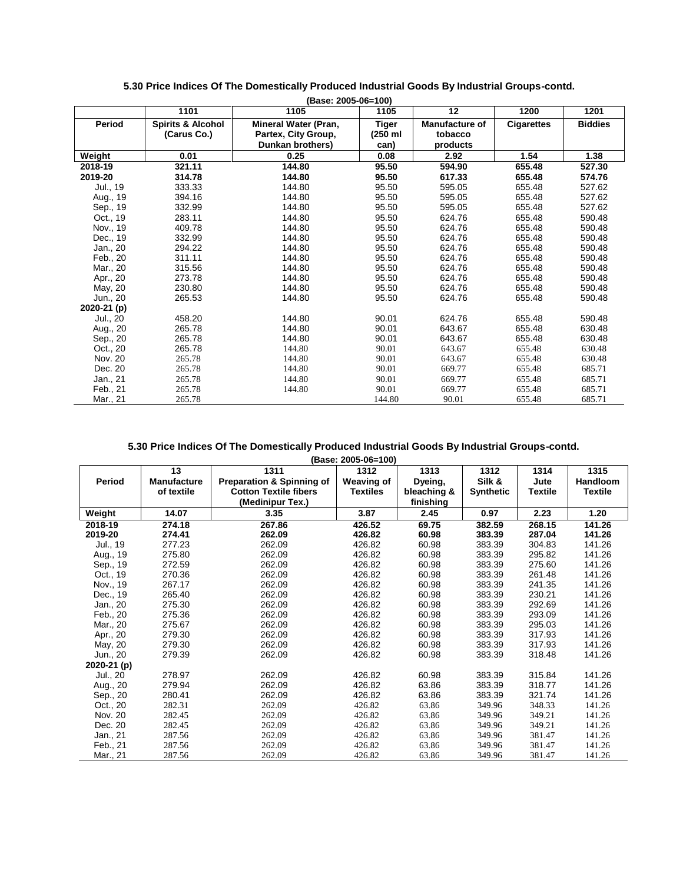|             |                              | (Base: 2005-06=100)         |              |                       |                   |                |
|-------------|------------------------------|-----------------------------|--------------|-----------------------|-------------------|----------------|
|             | 1101                         | 1105                        | 1105         | 12                    | 1200              | 1201           |
| Period      | <b>Spirits &amp; Alcohol</b> | <b>Mineral Water (Pran,</b> | <b>Tiger</b> | <b>Manufacture of</b> | <b>Cigarettes</b> | <b>Biddies</b> |
|             | (Carus Co.)                  | Partex, City Group,         | (250 ml      | tobacco               |                   |                |
|             |                              | Dunkan brothers)            | can)         | products              |                   |                |
| Weight      | 0.01                         | 0.25                        | 0.08         | 2.92                  | 1.54              | 1.38           |
| 2018-19     | 321.11                       | 144.80                      | 95.50        | 594.90                | 655.48            | 527.30         |
| 2019-20     | 314.78                       | 144.80                      | 95.50        | 617.33                | 655.48            | 574.76         |
| Jul., 19    | 333.33                       | 144.80                      | 95.50        | 595.05                | 655.48            | 527.62         |
| Aug., 19    | 394.16                       | 144.80                      | 95.50        | 595.05                | 655.48            | 527.62         |
| Sep., 19    | 332.99                       | 144.80                      | 95.50        | 595.05                | 655.48            | 527.62         |
| Oct., 19    | 283.11                       | 144.80                      | 95.50        | 624.76                | 655.48            | 590.48         |
| Nov., 19    | 409.78                       | 144.80                      | 95.50        | 624.76                | 655.48            | 590.48         |
| Dec., 19    | 332.99                       | 144.80                      | 95.50        | 624.76                | 655.48            | 590.48         |
| Jan., 20    | 294.22                       | 144.80                      | 95.50        | 624.76                | 655.48            | 590.48         |
| Feb., 20    | 311.11                       | 144.80                      | 95.50        | 624.76                | 655.48            | 590.48         |
| Mar., 20    | 315.56                       | 144.80                      | 95.50        | 624.76                | 655.48            | 590.48         |
| Apr., 20    | 273.78                       | 144.80                      | 95.50        | 624.76                | 655.48            | 590.48         |
| May, 20     | 230.80                       | 144.80                      | 95.50        | 624.76                | 655.48            | 590.48         |
| Jun., 20    | 265.53                       | 144.80                      | 95.50        | 624.76                | 655.48            | 590.48         |
| 2020-21 (p) |                              |                             |              |                       |                   |                |
| Jul., 20    | 458.20                       | 144.80                      | 90.01        | 624.76                | 655.48            | 590.48         |
| Aug., 20    | 265.78                       | 144.80                      | 90.01        | 643.67                | 655.48            | 630.48         |
| Sep., 20    | 265.78                       | 144.80                      | 90.01        | 643.67                | 655.48            | 630.48         |
| Oct., 20    | 265.78                       | 144.80                      | 90.01        | 643.67                | 655.48            | 630.48         |
| Nov. 20     | 265.78                       | 144.80                      | 90.01        | 643.67                | 655.48            | 630.48         |
| Dec. 20     | 265.78                       | 144.80                      | 90.01        | 669.77                | 655.48            | 685.71         |
| Jan., 21    | 265.78                       | 144.80                      | 90.01        | 669.77                | 655.48            | 685.71         |
| Feb., 21    | 265.78                       | 144.80                      | 90.01        | 669.77                | 655.48            | 685.71         |
| Mar., 21    | 265.78                       |                             | 144.80       | 90.01                 | 655.48            | 685.71         |

#### **5.30 Price Indices Of The Domestically Produced Industrial Goods By Industrial Groups-contd. (Base: 2005-06=100)**

|             | 13                 | 1311                                 | 1312              | 1313        | 1312             | 1314           | 1315            |
|-------------|--------------------|--------------------------------------|-------------------|-------------|------------------|----------------|-----------------|
| Period      | <b>Manufacture</b> | <b>Preparation &amp; Spinning of</b> | <b>Weaving of</b> | Dyeing,     | Silk &           | Jute           | <b>Handloom</b> |
|             | of textile         | <b>Cotton Textile fibers</b>         | <b>Textiles</b>   | bleaching & | <b>Synthetic</b> | <b>Textile</b> | <b>Textile</b>  |
|             |                    | (Medinipur Tex.)                     |                   | finishing   |                  |                |                 |
| Weight      | 14.07              | 3.35                                 | 3.87              | 2.45        | 0.97             | 2.23           | 1.20            |
| 2018-19     | 274.18             | 267.86                               | 426.52            | 69.75       | 382.59           | 268.15         | 141.26          |
| 2019-20     | 274.41             | 262.09                               | 426.82            | 60.98       | 383.39           | 287.04         | 141.26          |
| Jul., 19    | 277.23             | 262.09                               | 426.82            | 60.98       | 383.39           | 304.83         | 141.26          |
| Aug., 19    | 275.80             | 262.09                               | 426.82            | 60.98       | 383.39           | 295.82         | 141.26          |
| Sep., 19    | 272.59             | 262.09                               | 426.82            | 60.98       | 383.39           | 275.60         | 141.26          |
| Oct., 19    | 270.36             | 262.09                               | 426.82            | 60.98       | 383.39           | 261.48         | 141.26          |
| Nov., 19    | 267.17             | 262.09                               | 426.82            | 60.98       | 383.39           | 241.35         | 141.26          |
| Dec., 19    | 265.40             | 262.09                               | 426.82            | 60.98       | 383.39           | 230.21         | 141.26          |
| Jan., 20    | 275.30             | 262.09                               | 426.82            | 60.98       | 383.39           | 292.69         | 141.26          |
| Feb., 20    | 275.36             | 262.09                               | 426.82            | 60.98       | 383.39           | 293.09         | 141.26          |
| Mar., 20    | 275.67             | 262.09                               | 426.82            | 60.98       | 383.39           | 295.03         | 141.26          |
| Apr., 20    | 279.30             | 262.09                               | 426.82            | 60.98       | 383.39           | 317.93         | 141.26          |
| May, 20     | 279.30             | 262.09                               | 426.82            | 60.98       | 383.39           | 317.93         | 141.26          |
| Jun., 20    | 279.39             | 262.09                               | 426.82            | 60.98       | 383.39           | 318.48         | 141.26          |
| 2020-21 (p) |                    |                                      |                   |             |                  |                |                 |
| Jul., 20    | 278.97             | 262.09                               | 426.82            | 60.98       | 383.39           | 315.84         | 141.26          |
| Aug., 20    | 279.94             | 262.09                               | 426.82            | 63.86       | 383.39           | 318.77         | 141.26          |
| Sep., 20    | 280.41             | 262.09                               | 426.82            | 63.86       | 383.39           | 321.74         | 141.26          |
| Oct., 20    | 282.31             | 262.09                               | 426.82            | 63.86       | 349.96           | 348.33         | 141.26          |
| Nov. 20     | 282.45             | 262.09                               | 426.82            | 63.86       | 349.96           | 349.21         | 141.26          |
| Dec. 20     | 282.45             | 262.09                               | 426.82            | 63.86       | 349.96           | 349.21         | 141.26          |
| Jan., 21    | 287.56             | 262.09                               | 426.82            | 63.86       | 349.96           | 381.47         | 141.26          |
| Feb., 21    | 287.56             | 262.09                               | 426.82            | 63.86       | 349.96           | 381.47         | 141.26          |
| Mar., 21    | 287.56             | 262.09                               | 426.82            | 63.86       | 349.96           | 381.47         | 141.26          |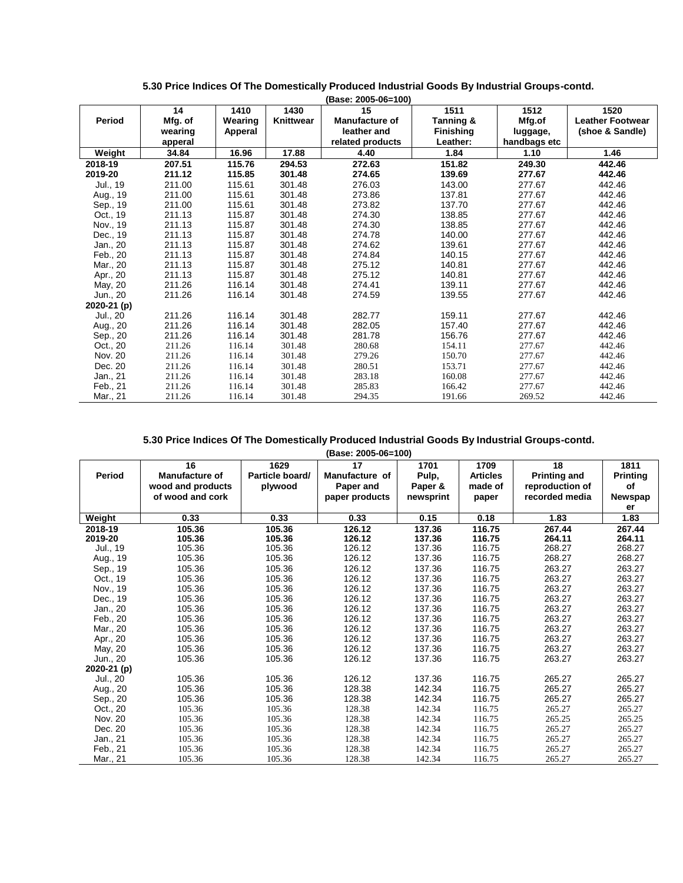| Period      | 14<br>Mfg. of<br>wearing<br>apperal | 1410<br>Wearing<br>Apperal | 1430<br>Knittwear | 15<br><b>Manufacture of</b><br>leather and<br>related products | 1511<br>Tanning &<br><b>Finishing</b><br>Leather: | 1512<br>Mfg.of<br>luggage,<br>handbags etc | 1520<br><b>Leather Footwear</b><br>(shoe & Sandle) |
|-------------|-------------------------------------|----------------------------|-------------------|----------------------------------------------------------------|---------------------------------------------------|--------------------------------------------|----------------------------------------------------|
| Weight      | 34.84                               | 16.96                      | 17.88             | 4.40                                                           | 1.84                                              | 1.10                                       | 1.46                                               |
| 2018-19     | 207.51                              | 115.76                     | 294.53            | 272.63                                                         | 151.82                                            | 249.30                                     | 442.46                                             |
| 2019-20     | 211.12                              | 115.85                     | 301.48            | 274.65                                                         | 139.69                                            | 277.67                                     | 442.46                                             |
| Jul., 19    | 211.00                              | 115.61                     | 301.48            | 276.03                                                         | 143.00                                            | 277.67                                     | 442.46                                             |
| Aug., 19    | 211.00                              | 115.61                     | 301.48            | 273.86                                                         | 137.81                                            | 277.67                                     | 442.46                                             |
| Sep., 19    | 211.00                              | 115.61                     | 301.48            | 273.82                                                         | 137.70                                            | 277.67                                     | 442.46                                             |
| Oct., 19    | 211.13                              | 115.87                     | 301.48            | 274.30                                                         | 138.85                                            | 277.67                                     | 442.46                                             |
| Nov., 19    | 211.13                              | 115.87                     | 301.48            | 274.30                                                         | 138.85                                            | 277.67                                     | 442.46                                             |
| Dec., 19    | 211.13                              | 115.87                     | 301.48            | 274.78                                                         | 140.00                                            | 277.67                                     | 442.46                                             |
| Jan., 20    | 211.13                              | 115.87                     | 301.48            | 274.62                                                         | 139.61                                            | 277.67                                     | 442.46                                             |
| Feb., 20    | 211.13                              | 115.87                     | 301.48            | 274.84                                                         | 140.15                                            | 277.67                                     | 442.46                                             |
| Mar., 20    | 211.13                              | 115.87                     | 301.48            | 275.12                                                         | 140.81                                            | 277.67                                     | 442.46                                             |
| Apr., 20    | 211.13                              | 115.87                     | 301.48            | 275.12                                                         | 140.81                                            | 277.67                                     | 442.46                                             |
| May, 20     | 211.26                              | 116.14                     | 301.48            | 274.41                                                         | 139.11                                            | 277.67                                     | 442.46                                             |
| Jun., 20    | 211.26                              | 116.14                     | 301.48            | 274.59                                                         | 139.55                                            | 277.67                                     | 442.46                                             |
| 2020-21 (p) |                                     |                            |                   |                                                                |                                                   |                                            |                                                    |
| Jul., 20    | 211.26                              | 116.14                     | 301.48            | 282.77                                                         | 159.11                                            | 277.67                                     | 442.46                                             |
| Aug., 20    | 211.26                              | 116.14                     | 301.48            | 282.05                                                         | 157.40                                            | 277.67                                     | 442.46                                             |
| Sep., 20    | 211.26                              | 116.14                     | 301.48            | 281.78                                                         | 156.76                                            | 277.67                                     | 442.46                                             |
| Oct., 20    | 211.26                              | 116.14                     | 301.48            | 280.68                                                         | 154.11                                            | 277.67                                     | 442.46                                             |
| Nov. 20     | 211.26                              | 116.14                     | 301.48            | 279.26                                                         | 150.70                                            | 277.67                                     | 442.46                                             |
| Dec. 20     | 211.26                              | 116.14                     | 301.48            | 280.51                                                         | 153.71                                            | 277.67                                     | 442.46                                             |
| Jan., 21    | 211.26                              | 116.14                     | 301.48            | 283.18                                                         | 160.08                                            | 277.67                                     | 442.46                                             |
| Feb., 21    | 211.26                              | 116.14                     | 301.48            | 285.83                                                         | 166.42                                            | 277.67                                     | 442.46                                             |
| Mar., 21    | 211.26                              | 116.14                     | 301.48            | 294.35                                                         | 191.66                                            | 269.52                                     | 442.46                                             |

**5.30 Price Indices Of The Domestically Produced Industrial Goods By Industrial Groups-contd. (Base: 2005-06=100)**

|               | 16                | 1629            | (Paov. Luvu vu-Tuu)<br>17 | 1701      | 1709            | 18                  | 1811            |
|---------------|-------------------|-----------------|---------------------------|-----------|-----------------|---------------------|-----------------|
| <b>Period</b> | Manufacture of    | Particle board/ | Manufacture of            | Pulp,     | <b>Articles</b> | <b>Printing and</b> | <b>Printing</b> |
|               | wood and products | plywood         | Paper and                 | Paper &   | made of         | reproduction of     | of              |
|               | of wood and cork  |                 | paper products            | newsprint | paper           | recorded media      | Newspap         |
|               |                   |                 |                           |           |                 |                     | er              |
| Weight        | 0.33              | 0.33            | 0.33                      | 0.15      | 0.18            | 1.83                | 1.83            |
| 2018-19       | 105.36            | 105.36          | 126.12                    | 137.36    | 116.75          | 267.44              | 267.44          |
| 2019-20       | 105.36            | 105.36          | 126.12                    | 137.36    | 116.75          | 264.11              | 264.11          |
| Jul., 19      | 105.36            | 105.36          | 126.12                    | 137.36    | 116.75          | 268.27              | 268.27          |
| Aug., 19      | 105.36            | 105.36          | 126.12                    | 137.36    | 116.75          | 268.27              | 268.27          |
| Sep., 19      | 105.36            | 105.36          | 126.12                    | 137.36    | 116.75          | 263.27              | 263.27          |
| Oct., 19      | 105.36            | 105.36          | 126.12                    | 137.36    | 116.75          | 263.27              | 263.27          |
| Nov., 19      | 105.36            | 105.36          | 126.12                    | 137.36    | 116.75          | 263.27              | 263.27          |
| Dec., 19      | 105.36            | 105.36          | 126.12                    | 137.36    | 116.75          | 263.27              | 263.27          |
| Jan., 20      | 105.36            | 105.36          | 126.12                    | 137.36    | 116.75          | 263.27              | 263.27          |
| Feb., 20      | 105.36            | 105.36          | 126.12                    | 137.36    | 116.75          | 263.27              | 263.27          |
| Mar., 20      | 105.36            | 105.36          | 126.12                    | 137.36    | 116.75          | 263.27              | 263.27          |
| Apr., 20      | 105.36            | 105.36          | 126.12                    | 137.36    | 116.75          | 263.27              | 263.27          |
| May, 20       | 105.36            | 105.36          | 126.12                    | 137.36    | 116.75          | 263.27              | 263.27          |
| Jun., 20      | 105.36            | 105.36          | 126.12                    | 137.36    | 116.75          | 263.27              | 263.27          |
| 2020-21 (p)   |                   |                 |                           |           |                 |                     |                 |
| Jul., 20      | 105.36            | 105.36          | 126.12                    | 137.36    | 116.75          | 265.27              | 265.27          |
| Aug., 20      | 105.36            | 105.36          | 128.38                    | 142.34    | 116.75          | 265.27              | 265.27          |
| Sep., 20      | 105.36            | 105.36          | 128.38                    | 142.34    | 116.75          | 265.27              | 265.27          |
| Oct., 20      | 105.36            | 105.36          | 128.38                    | 142.34    | 116.75          | 265.27              | 265.27          |
| Nov. 20       | 105.36            | 105.36          | 128.38                    | 142.34    | 116.75          | 265.25              | 265.25          |
| Dec. 20       | 105.36            | 105.36          | 128.38                    | 142.34    | 116.75          | 265.27              | 265.27          |
| Jan., 21      | 105.36            | 105.36          | 128.38                    | 142.34    | 116.75          | 265.27              | 265.27          |
| Feb., 21      | 105.36            | 105.36          | 128.38                    | 142.34    | 116.75          | 265.27              | 265.27          |
| Mar., 21      | 105.36            | 105.36          | 128.38                    | 142.34    | 116.75          | 265.27              | 265.27          |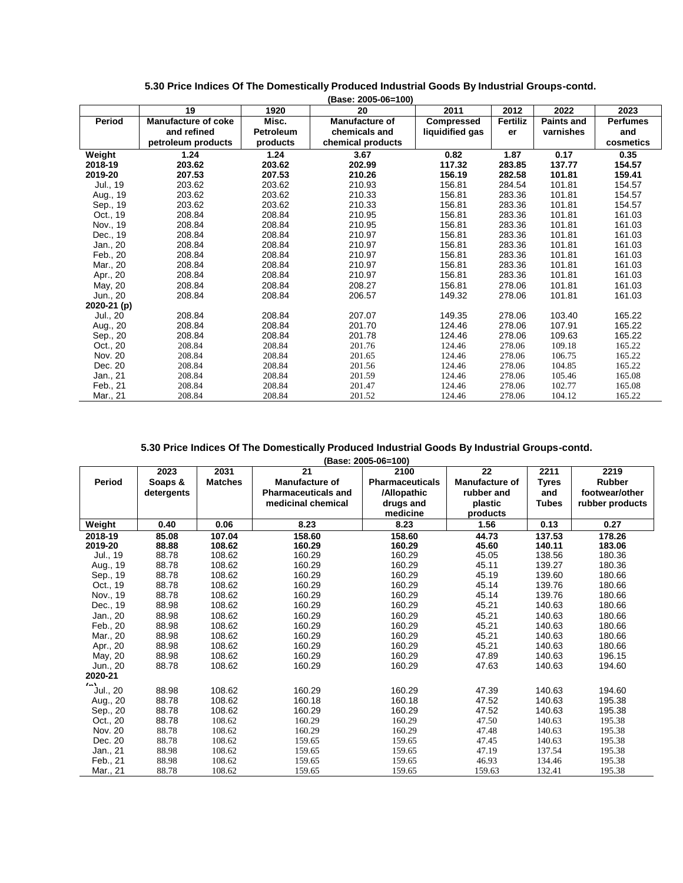|             |                            |                  | (Base: 2005-06=100) |                   |          |                   |                 |
|-------------|----------------------------|------------------|---------------------|-------------------|----------|-------------------|-----------------|
|             | 19                         | 1920             | 20                  | 2011              | 2012     | 2022              | 2023            |
| Period      | <b>Manufacture of coke</b> | Misc.            | Manufacture of      | <b>Compressed</b> | Fertiliz | <b>Paints and</b> | <b>Perfumes</b> |
|             | and refined                | <b>Petroleum</b> | chemicals and       | liquidified gas   | er       | varnishes         | and             |
|             | petroleum products         | products         | chemical products   |                   |          |                   | cosmetics       |
| Weight      | 1.24                       | 1.24             | 3.67                | 0.82              | 1.87     | 0.17              | 0.35            |
| 2018-19     | 203.62                     | 203.62           | 202.99              | 117.32            | 283.85   | 137.77            | 154.57          |
| 2019-20     | 207.53                     | 207.53           | 210.26              | 156.19            | 282.58   | 101.81            | 159.41          |
| Jul., 19    | 203.62                     | 203.62           | 210.93              | 156.81            | 284.54   | 101.81            | 154.57          |
| Aug., 19    | 203.62                     | 203.62           | 210.33              | 156.81            | 283.36   | 101.81            | 154.57          |
| Sep., 19    | 203.62                     | 203.62           | 210.33              | 156.81            | 283.36   | 101.81            | 154.57          |
| Oct., 19    | 208.84                     | 208.84           | 210.95              | 156.81            | 283.36   | 101.81            | 161.03          |
| Nov., 19    | 208.84                     | 208.84           | 210.95              | 156.81            | 283.36   | 101.81            | 161.03          |
| Dec., 19    | 208.84                     | 208.84           | 210.97              | 156.81            | 283.36   | 101.81            | 161.03          |
| Jan., 20    | 208.84                     | 208.84           | 210.97              | 156.81            | 283.36   | 101.81            | 161.03          |
| Feb., 20    | 208.84                     | 208.84           | 210.97              | 156.81            | 283.36   | 101.81            | 161.03          |
| Mar., 20    | 208.84                     | 208.84           | 210.97              | 156.81            | 283.36   | 101.81            | 161.03          |
| Apr., 20    | 208.84                     | 208.84           | 210.97              | 156.81            | 283.36   | 101.81            | 161.03          |
| May, 20     | 208.84                     | 208.84           | 208.27              | 156.81            | 278.06   | 101.81            | 161.03          |
| Jun., 20    | 208.84                     | 208.84           | 206.57              | 149.32            | 278.06   | 101.81            | 161.03          |
| 2020-21 (p) |                            |                  |                     |                   |          |                   |                 |
| Jul., 20    | 208.84                     | 208.84           | 207.07              | 149.35            | 278.06   | 103.40            | 165.22          |
| Aug., 20    | 208.84                     | 208.84           | 201.70              | 124.46            | 278.06   | 107.91            | 165.22          |
| Sep., 20    | 208.84                     | 208.84           | 201.78              | 124.46            | 278.06   | 109.63            | 165.22          |
| Oct., 20    | 208.84                     | 208.84           | 201.76              | 124.46            | 278.06   | 109.18            | 165.22          |
| Nov. 20     | 208.84                     | 208.84           | 201.65              | 124.46            | 278.06   | 106.75            | 165.22          |
| Dec. 20     | 208.84                     | 208.84           | 201.56              | 124.46            | 278.06   | 104.85            | 165.22          |
| Jan., 21    | 208.84                     | 208.84           | 201.59              | 124.46            | 278.06   | 105.46            | 165.08          |
| Feb., 21    | 208.84                     | 208.84           | 201.47              | 124.46            | 278.06   | 102.77            | 165.08          |
| Mar., 21    | 208.84                     | 208.84           | 201.52              | 124.46            | 278.06   | 104.12            | 165.22          |

#### **5.30 Price Indices Of The Domestically Produced Industrial Goods By Industrial Groups-contd.**

|                    |            |                |                            | (Base: 2005-06=100)    |                       |              |                 |
|--------------------|------------|----------------|----------------------------|------------------------|-----------------------|--------------|-----------------|
|                    | 2023       | 2031           | 21                         | 2100                   | 22                    | 2211         | 2219            |
| Period             | Soaps &    | <b>Matches</b> | <b>Manufacture of</b>      | <b>Pharmaceuticals</b> | <b>Manufacture of</b> | <b>Tyres</b> | Rubber          |
|                    | detergents |                | <b>Pharmaceuticals and</b> | /Allopathic            | rubber and            | and          | footwear/other  |
|                    |            |                | medicinal chemical         | drugs and              | plastic               | <b>Tubes</b> | rubber products |
|                    |            |                |                            | medicine               | products              |              |                 |
| Weight             | 0.40       | 0.06           | 8.23                       | 8.23                   | 1.56                  | 0.13         | 0.27            |
| 2018-19            | 85.08      | 107.04         | 158.60                     | 158.60                 | 44.73                 | 137.53       | 178.26          |
| 2019-20            | 88.88      | 108.62         | 160.29                     | 160.29                 | 45.60                 | 140.11       | 183.06          |
| Jul., 19           | 88.78      | 108.62         | 160.29                     | 160.29                 | 45.05                 | 138.56       | 180.36          |
| Aug., 19           | 88.78      | 108.62         | 160.29                     | 160.29                 | 45.11                 | 139.27       | 180.36          |
| Sep., 19           | 88.78      | 108.62         | 160.29                     | 160.29                 | 45.19                 | 139.60       | 180.66          |
| Oct., 19           | 88.78      | 108.62         | 160.29                     | 160.29                 | 45.14                 | 139.76       | 180.66          |
| Nov., 19           | 88.78      | 108.62         | 160.29                     | 160.29                 | 45.14                 | 139.76       | 180.66          |
| Dec., 19           | 88.98      | 108.62         | 160.29                     | 160.29                 | 45.21                 | 140.63       | 180.66          |
| Jan., 20           | 88.98      | 108.62         | 160.29                     | 160.29                 | 45.21                 | 140.63       | 180.66          |
| Feb., 20           | 88.98      | 108.62         | 160.29                     | 160.29                 | 45.21                 | 140.63       | 180.66          |
| Mar., 20           | 88.98      | 108.62         | 160.29                     | 160.29                 | 45.21                 | 140.63       | 180.66          |
| Apr., 20           | 88.98      | 108.62         | 160.29                     | 160.29                 | 45.21                 | 140.63       | 180.66          |
| May, 20            | 88.98      | 108.62         | 160.29                     | 160.29                 | 47.89                 | 140.63       | 196.15          |
| Jun., 20           | 88.78      | 108.62         | 160.29                     | 160.29                 | 47.63                 | 140.63       | 194.60          |
| 2020-21            |            |                |                            |                        |                       |              |                 |
| $\sim$<br>Jul., 20 | 88.98      | 108.62         | 160.29                     | 160.29                 | 47.39                 | 140.63       | 194.60          |
| Aug., 20           | 88.78      | 108.62         | 160.18                     | 160.18                 | 47.52                 | 140.63       | 195.38          |
| Sep., 20           | 88.78      | 108.62         | 160.29                     | 160.29                 | 47.52                 | 140.63       | 195.38          |
| Oct., 20           | 88.78      | 108.62         | 160.29                     | 160.29                 | 47.50                 | 140.63       | 195.38          |
| Nov. 20            | 88.78      | 108.62         | 160.29                     | 160.29                 | 47.48                 | 140.63       | 195.38          |
| Dec. 20            | 88.78      | 108.62         | 159.65                     | 159.65                 | 47.45                 | 140.63       | 195.38          |
| Jan., 21           | 88.98      | 108.62         | 159.65                     | 159.65                 | 47.19                 | 137.54       | 195.38          |
| Feb., 21           | 88.98      | 108.62         | 159.65                     | 159.65                 | 46.93                 | 134.46       | 195.38          |
| Mar., 21           | 88.78      | 108.62         | 159.65                     | 159.65                 | 159.63                | 132.41       | 195.38          |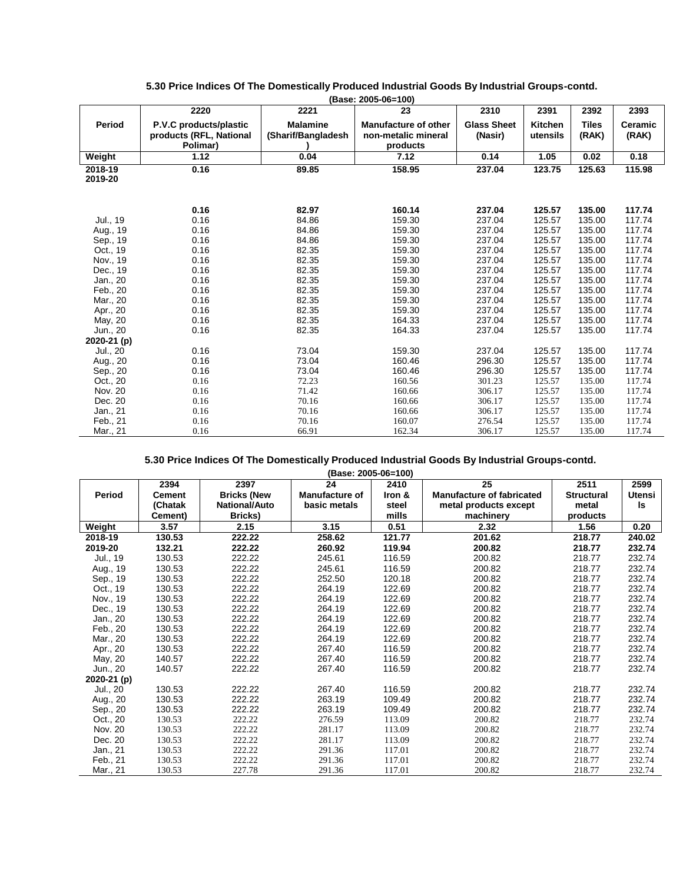|                    |                                                               |                                       | (Base: 2005-06=100)                                            |                               |                            |                |                  |
|--------------------|---------------------------------------------------------------|---------------------------------------|----------------------------------------------------------------|-------------------------------|----------------------------|----------------|------------------|
|                    | 2220                                                          | 2221                                  | 23                                                             | 2310                          | 2391                       | 2392           | 2393             |
| Period             | P.V.C products/plastic<br>products (RFL, National<br>Polimar) | <b>Malamine</b><br>(Sharif/Bangladesh | <b>Manufacture of other</b><br>non-metalic mineral<br>products | <b>Glass Sheet</b><br>(Nasir) | <b>Kitchen</b><br>utensils | Tiles<br>(RAK) | Ceramic<br>(RAK) |
| Weight             | 1.12                                                          | 0.04                                  | 7.12                                                           | 0.14                          | 1.05                       | 0.02           | 0.18             |
| 2018-19<br>2019-20 | 0.16                                                          | 89.85                                 | 158.95                                                         |                               | 123.75                     | 125.63         | 115.98           |
|                    |                                                               |                                       |                                                                |                               |                            |                |                  |
|                    | 0.16                                                          | 82.97                                 | 160.14                                                         | 237.04                        | 125.57                     | 135.00         | 117.74           |
| Jul., 19           | 0.16                                                          | 84.86                                 | 159.30                                                         | 237.04                        | 125.57                     | 135.00         | 117.74           |
| Aug., 19           | 0.16                                                          | 84.86                                 | 159.30                                                         | 237.04                        | 125.57                     | 135.00         | 117.74           |
| Sep., 19           | 0.16                                                          | 84.86                                 | 159.30                                                         | 237.04                        | 125.57                     | 135.00         | 117.74           |
| Oct., 19           | 0.16                                                          | 82.35                                 | 159.30                                                         | 237.04                        | 125.57                     | 135.00         | 117.74           |
| Nov., 19           | 0.16                                                          | 82.35                                 | 159.30                                                         | 237.04                        | 125.57                     | 135.00         | 117.74           |
| Dec., 19           | 0.16                                                          | 82.35                                 | 159.30                                                         | 237.04                        | 125.57                     | 135.00         | 117.74           |
| Jan., 20           | 0.16                                                          | 82.35                                 | 159.30                                                         | 237.04                        | 125.57                     | 135.00         | 117.74           |
| Feb., 20           | 0.16                                                          | 82.35                                 | 159.30                                                         | 237.04                        | 125.57                     | 135.00         | 117.74           |
| Mar., 20           | 0.16                                                          | 82.35                                 | 159.30                                                         | 237.04                        | 125.57                     | 135.00         | 117.74           |
| Apr., 20           | 0.16                                                          | 82.35                                 | 159.30                                                         | 237.04                        | 125.57                     | 135.00         | 117.74           |
| May, 20            | 0.16                                                          | 82.35                                 | 164.33                                                         | 237.04                        | 125.57                     | 135.00         | 117.74           |
| Jun., 20           | 0.16                                                          | 82.35                                 | 164.33                                                         | 237.04                        | 125.57                     | 135.00         | 117.74           |
| 2020-21 (p)        |                                                               |                                       |                                                                |                               |                            |                |                  |
| Jul., 20           | 0.16                                                          | 73.04                                 | 159.30                                                         | 237.04                        | 125.57                     | 135.00         | 117.74           |
| Aug., 20           | 0.16                                                          | 73.04                                 | 160.46                                                         | 296.30                        | 125.57                     | 135.00         | 117.74           |
| Sep., 20           | 0.16                                                          | 73.04                                 | 160.46                                                         | 296.30                        | 125.57                     | 135.00         | 117.74           |
| Oct., 20           | 0.16                                                          | 72.23                                 | 160.56                                                         | 301.23                        | 125.57                     | 135.00         | 117.74           |
| Nov. 20            | 0.16                                                          | 71.42                                 | 160.66                                                         | 306.17                        | 125.57                     | 135.00         | 117.74           |
| Dec. 20            | 0.16                                                          | 70.16                                 | 160.66                                                         | 306.17                        | 125.57                     | 135.00         | 117.74           |
| Jan., 21           | 0.16                                                          | 70.16                                 | 160.66                                                         | 306.17                        | 125.57                     | 135.00         | 117.74           |
| Feb., 21           | 0.16                                                          | 70.16                                 | 160.07                                                         | 276.54                        | 125.57                     | 135.00         | 117.74           |
| Mar., 21           | 0.16                                                          | 66.91                                 | 162.34                                                         | 306.17                        | 125.57                     | 135.00         | 117.74           |

### **5.30 Price Indices Of The Domestically Produced Industrial Goods By Industrial Groups-contd.**

**(Base: 2005-06=100)**

|             | 2394          | 2397                 | 24                    | 2410   | 25                               | 2511              | 2599          |
|-------------|---------------|----------------------|-----------------------|--------|----------------------------------|-------------------|---------------|
| Period      | <b>Cement</b> | <b>Bricks (New</b>   | <b>Manufacture of</b> | Iron & | <b>Manufacture of fabricated</b> | <b>Structural</b> | <b>Utensi</b> |
|             | (Chatak       | <b>National/Auto</b> | basic metals          | steel  | metal products except            | metal             | Is            |
|             | Cement)       | Bricks)              |                       | mills  | machinery                        | products          |               |
| Weight      | 3.57          | 2.15                 | 3.15                  | 0.51   | 2.32                             | 1.56              | 0.20          |
| 2018-19     | 130.53        | 222.22               | 258.62                | 121.77 | 201.62                           | 218.77            | 240.02        |
| 2019-20     | 132.21        | 222.22               | 260.92                | 119.94 | 200.82                           | 218.77            | 232.74        |
| Jul., 19    | 130.53        | 222.22               | 245.61                | 116.59 | 200.82                           | 218.77            | 232.74        |
| Aug., 19    | 130.53        | 222.22               | 245.61                | 116.59 | 200.82                           | 218.77            | 232.74        |
| Sep., 19    | 130.53        | 222.22               | 252.50                | 120.18 | 200.82                           | 218.77            | 232.74        |
| Oct., 19    | 130.53        | 222.22               | 264.19                | 122.69 | 200.82                           | 218.77            | 232.74        |
| Nov., 19    | 130.53        | 222.22               | 264.19                | 122.69 | 200.82                           | 218.77            | 232.74        |
| Dec., 19    | 130.53        | 222.22               | 264.19                | 122.69 | 200.82                           | 218.77            | 232.74        |
| Jan., 20    | 130.53        | 222.22               | 264.19                | 122.69 | 200.82                           | 218.77            | 232.74        |
| Feb., 20    | 130.53        | 222.22               | 264.19                | 122.69 | 200.82                           | 218.77            | 232.74        |
| Mar., 20    | 130.53        | 222.22               | 264.19                | 122.69 | 200.82                           | 218.77            | 232.74        |
| Apr., 20    | 130.53        | 222.22               | 267.40                | 116.59 | 200.82                           | 218.77            | 232.74        |
| May, 20     | 140.57        | 222.22               | 267.40                | 116.59 | 200.82                           | 218.77            | 232.74        |
| Jun., 20    | 140.57        | 222.22               | 267.40                | 116.59 | 200.82                           | 218.77            | 232.74        |
| 2020-21 (p) |               |                      |                       |        |                                  |                   |               |
| Jul., 20    | 130.53        | 222.22               | 267.40                | 116.59 | 200.82                           | 218.77            | 232.74        |
| Aug., 20    | 130.53        | 222.22               | 263.19                | 109.49 | 200.82                           | 218.77            | 232.74        |
| Sep., 20    | 130.53        | 222.22               | 263.19                | 109.49 | 200.82                           | 218.77            | 232.74        |
| Oct., 20    | 130.53        | 222.22               | 276.59                | 113.09 | 200.82                           | 218.77            | 232.74        |
| Nov. 20     | 130.53        | 222.22               | 281.17                | 113.09 | 200.82                           | 218.77            | 232.74        |
| Dec. 20     | 130.53        | 222.22               | 281.17                | 113.09 | 200.82                           | 218.77            | 232.74        |
| Jan., 21    | 130.53        | 222.22               | 291.36                | 117.01 | 200.82                           | 218.77            | 232.74        |
| Feb., 21    | 130.53        | 222.22               | 291.36                | 117.01 | 200.82                           | 218.77            | 232.74        |
| Mar., 21    | 130.53        | 227.78               | 291.36                | 117.01 | 200.82                           | 218.77            | 232.74        |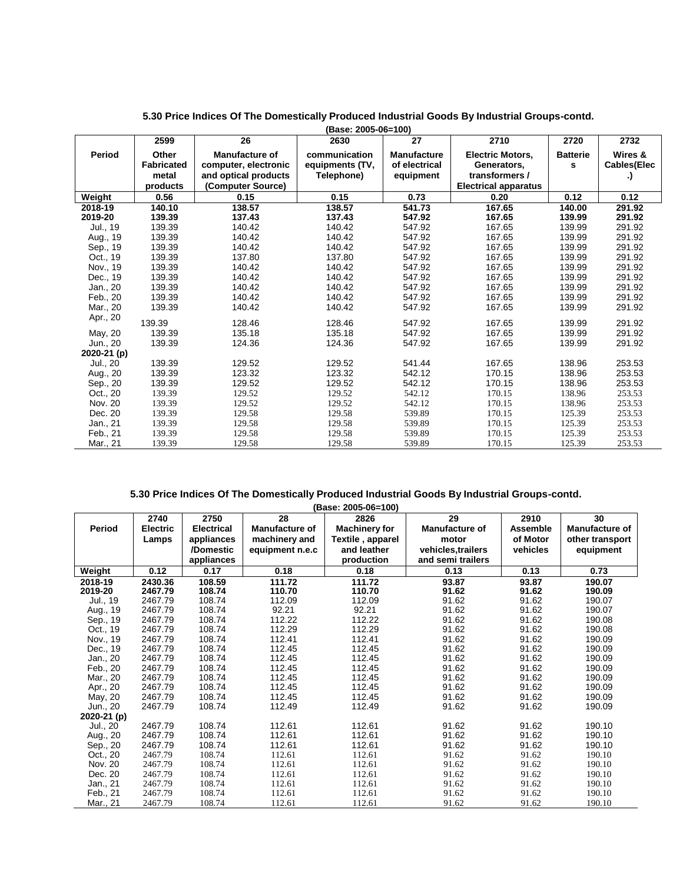|             | 2599              | 26                    | 2630            | 27                 | 2710                        | 2720            | 2732               |
|-------------|-------------------|-----------------------|-----------------|--------------------|-----------------------------|-----------------|--------------------|
| Period      | Other             | <b>Manufacture of</b> | communication   | <b>Manufacture</b> | <b>Electric Motors,</b>     | <b>Batterie</b> | Wires &            |
|             | <b>Fabricated</b> | computer, electronic  | equipments (TV, | of electrical      | Generators,                 | s               | <b>Cables(Elec</b> |
|             | metal             | and optical products  | Telephone)      | equipment          | transformers /              |                 | .)                 |
|             | products          | (Computer Source)     |                 |                    | <b>Electrical apparatus</b> |                 |                    |
| Weight      | 0.56              | 0.15                  | 0.15            | 0.73               | 0.20                        | 0.12            | 0.12               |
| 2018-19     | 140.10            | 138.57                | 138.57          | 541.73             | 167.65                      | 140.00          | 291.92             |
| 2019-20     | 139.39            | 137.43                | 137.43          | 547.92             | 167.65                      | 139.99          | 291.92             |
| Jul., 19    | 139.39            | 140.42                | 140.42          | 547.92             | 167.65                      | 139.99          | 291.92             |
| Aug., 19    | 139.39            | 140.42                | 140.42          | 547.92             | 167.65                      | 139.99          | 291.92             |
| Sep., 19    | 139.39            | 140.42                | 140.42          | 547.92             | 167.65                      | 139.99          | 291.92             |
| Oct., 19    | 139.39            | 137.80                | 137.80          | 547.92             | 167.65                      | 139.99          | 291.92             |
| Nov., 19    | 139.39            | 140.42                | 140.42          | 547.92             | 167.65                      | 139.99          | 291.92             |
| Dec., 19    | 139.39            | 140.42                | 140.42          | 547.92             | 167.65                      | 139.99          | 291.92             |
| Jan., 20    | 139.39            | 140.42                | 140.42          | 547.92             | 167.65                      | 139.99          | 291.92             |
| Feb., 20    | 139.39            | 140.42                | 140.42          | 547.92             | 167.65                      | 139.99          | 291.92             |
| Mar., 20    | 139.39            | 140.42                | 140.42          | 547.92             | 167.65                      | 139.99          | 291.92             |
| Apr., 20    | 139.39            | 128.46                | 128.46          | 547.92             | 167.65                      | 139.99          | 291.92             |
| May, 20     | 139.39            | 135.18                | 135.18          | 547.92             | 167.65                      | 139.99          | 291.92             |
| Jun., 20    | 139.39            | 124.36                | 124.36          | 547.92             | 167.65                      | 139.99          | 291.92             |
| 2020-21 (p) |                   |                       |                 |                    |                             |                 |                    |
| Jul., 20    | 139.39            | 129.52                | 129.52          | 541.44             | 167.65                      | 138.96          | 253.53             |
| Aug., 20    | 139.39            | 123.32                | 123.32          | 542.12             | 170.15                      | 138.96          | 253.53             |
| Sep., 20    | 139.39            | 129.52                | 129.52          | 542.12             | 170.15                      | 138.96          | 253.53             |
| Oct., 20    | 139.39            | 129.52                | 129.52          | 542.12             | 170.15                      | 138.96          | 253.53             |
| Nov. 20     | 139.39            | 129.52                | 129.52          | 542.12             | 170.15                      | 138.96          | 253.53             |
| Dec. 20     | 139.39            | 129.58                | 129.58          | 539.89             | 170.15                      | 125.39          | 253.53             |
| Jan., 21    | 139.39            | 129.58                | 129.58          | 539.89             | 170.15                      | 125.39          | 253.53             |
| Feb., 21    | 139.39            | 129.58                | 129.58          | 539.89             | 170.15                      | 125.39          | 253.53             |
| Mar., 21    | 139.39            | 129.58                | 129.58          | 539.89             | 170.15                      | 125.39          | 253.53             |

#### **5.30 Price Indices Of The Domestically Produced Industrial Goods By Industrial Groups-contd.**

|             |                 |                   |                 | (Base: 2005-06=100)  |                       |          |                       |
|-------------|-----------------|-------------------|-----------------|----------------------|-----------------------|----------|-----------------------|
|             | 2740            | 2750              | 28              | 2826                 | 29                    | 2910     | 30                    |
| Period      | <b>Electric</b> | <b>Electrical</b> | Manufacture of  | <b>Machinery for</b> | <b>Manufacture of</b> | Assemble | <b>Manufacture of</b> |
|             | Lamps           | appliances        | machinery and   | Textile, apparel     | motor                 | of Motor | other transport       |
|             |                 | /Domestic         | equipment n.e.c | and leather          | vehicles, trailers    | vehicles | equipment             |
|             |                 | appliances        |                 | production           | and semi trailers     |          |                       |
| Weight      | 0.12            | 0.17              | 0.18            | 0.18                 | 0.13                  | 0.13     | 0.73                  |
| 2018-19     | 2430.36         | 108.59            | 111.72          | 111.72               | 93.87                 | 93.87    | 190.07                |
| 2019-20     | 2467.79         | 108.74            | 110.70          | 110.70               | 91.62                 | 91.62    | 190.09                |
| Jul., 19    | 2467.79         | 108.74            | 112.09          | 112.09               | 91.62                 | 91.62    | 190.07                |
| Aug., 19    | 2467.79         | 108.74            | 92.21           | 92.21                | 91.62                 | 91.62    | 190.07                |
| Sep., 19    | 2467.79         | 108.74            | 112.22          | 112.22               | 91.62                 | 91.62    | 190.08                |
| Oct., 19    | 2467.79         | 108.74            | 112.29          | 112.29               | 91.62                 | 91.62    | 190.08                |
| Nov., 19    | 2467.79         | 108.74            | 112.41          | 112.41               | 91.62                 | 91.62    | 190.09                |
| Dec., 19    | 2467.79         | 108.74            | 112.45          | 112.45               | 91.62                 | 91.62    | 190.09                |
| Jan., 20    | 2467.79         | 108.74            | 112.45          | 112.45               | 91.62                 | 91.62    | 190.09                |
| Feb., 20    | 2467.79         | 108.74            | 112.45          | 112.45               | 91.62                 | 91.62    | 190.09                |
| Mar., 20    | 2467.79         | 108.74            | 112.45          | 112.45               | 91.62                 | 91.62    | 190.09                |
| Apr., 20    | 2467.79         | 108.74            | 112.45          | 112.45               | 91.62                 | 91.62    | 190.09                |
| May, 20     | 2467.79         | 108.74            | 112.45          | 112.45               | 91.62                 | 91.62    | 190.09                |
| Jun., 20    | 2467.79         | 108.74            | 112.49          | 112.49               | 91.62                 | 91.62    | 190.09                |
| 2020-21 (p) |                 |                   |                 |                      |                       |          |                       |
| Jul., 20    | 2467.79         | 108.74            | 112.61          | 112.61               | 91.62                 | 91.62    | 190.10                |
| Aug., 20    | 2467.79         | 108.74            | 112.61          | 112.61               | 91.62                 | 91.62    | 190.10                |
| Sep., 20    | 2467.79         | 108.74            | 112.61          | 112.61               | 91.62                 | 91.62    | 190.10                |
| Oct., 20    | 2467.79         | 108.74            | 112.61          | 112.61               | 91.62                 | 91.62    | 190.10                |
| Nov. 20     | 2467.79         | 108.74            | 112.61          | 112.61               | 91.62                 | 91.62    | 190.10                |
| Dec. 20     | 2467.79         | 108.74            | 112.61          | 112.61               | 91.62                 | 91.62    | 190.10                |
| Jan., 21    | 2467.79         | 108.74            | 112.61          | 112.61               | 91.62                 | 91.62    | 190.10                |
| Feb., 21    | 2467.79         | 108.74            | 112.61          | 112.61               | 91.62                 | 91.62    | 190.10                |
| Mar., 21    | 2467.79         | 108.74            | 112.61          | 112.61               | 91.62                 | 91.62    | 190.10                |